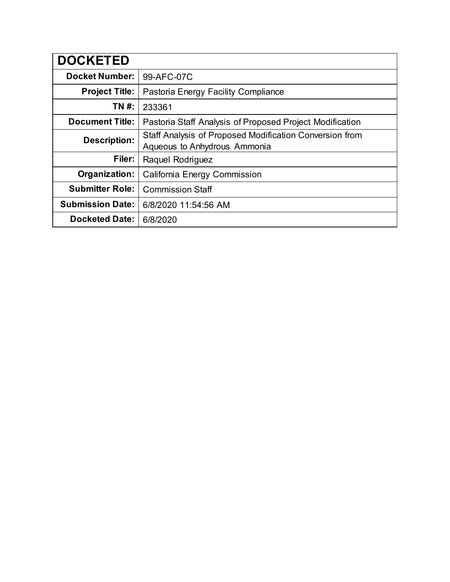| <b>DOCKETED</b>         |                                                                                         |
|-------------------------|-----------------------------------------------------------------------------------------|
| <b>Docket Number:</b>   | 99-AFC-07C                                                                              |
| <b>Project Title:</b>   | Pastoria Energy Facility Compliance                                                     |
| TN #:                   | 233361                                                                                  |
| <b>Document Title:</b>  | Pastoria Staff Analysis of Proposed Project Modification                                |
| <b>Description:</b>     | Staff Analysis of Proposed Modification Conversion from<br>Aqueous to Anhydrous Ammonia |
| Filer:                  | Raquel Rodriguez                                                                        |
| Organization:           | California Energy Commission                                                            |
| <b>Submitter Role:</b>  | <b>Commission Staff</b>                                                                 |
| <b>Submission Date:</b> | 6/8/2020 11:54:56 AM                                                                    |
| <b>Docketed Date:</b>   | 6/8/2020                                                                                |